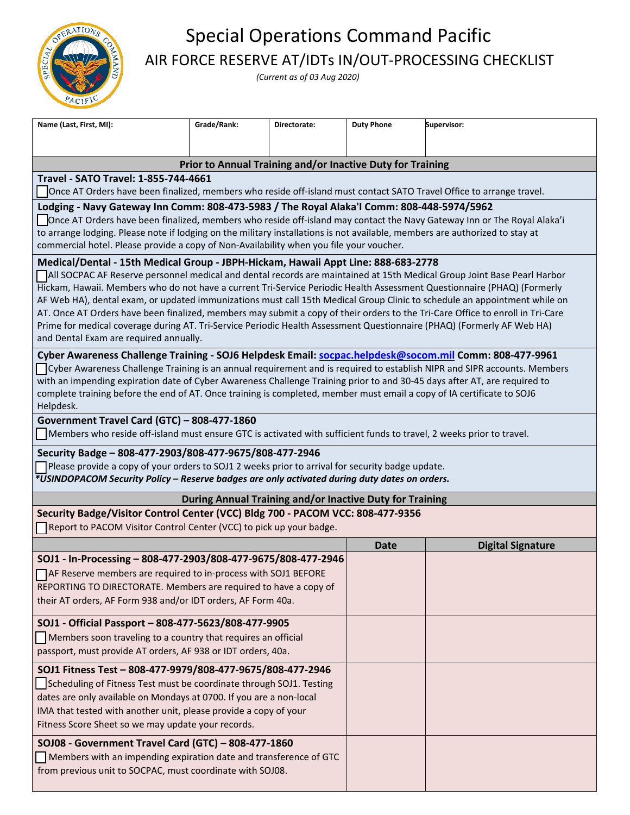

## Special Operations Command Pacific AIR FORCE RESERVE AT/IDTs IN/OUT-PROCESSING CHECKLIST

*(Current as of 03 Aug 2020)* 

| Name (Last, First, MI):                                                                                                                                                                                                                            | Grade/Rank: | Directorate: | <b>Duty Phone</b> | Supervisor:              |  |
|----------------------------------------------------------------------------------------------------------------------------------------------------------------------------------------------------------------------------------------------------|-------------|--------------|-------------------|--------------------------|--|
|                                                                                                                                                                                                                                                    |             |              |                   |                          |  |
| Prior to Annual Training and/or Inactive Duty for Training                                                                                                                                                                                         |             |              |                   |                          |  |
| Travel - SATO Travel: 1-855-744-4661                                                                                                                                                                                                               |             |              |                   |                          |  |
| Once AT Orders have been finalized, members who reside off-island must contact SATO Travel Office to arrange travel.                                                                                                                               |             |              |                   |                          |  |
| Lodging - Navy Gateway Inn Comm: 808-473-5983 / The Royal Alaka'l Comm: 808-448-5974/5962                                                                                                                                                          |             |              |                   |                          |  |
| Once AT Orders have been finalized, members who reside off-island may contact the Navy Gateway Inn or The Royal Alaka'i                                                                                                                            |             |              |                   |                          |  |
| to arrange lodging. Please note if lodging on the military installations is not available, members are authorized to stay at<br>commercial hotel. Please provide a copy of Non-Availability when you file your voucher.                            |             |              |                   |                          |  |
| Medical/Dental - 15th Medical Group - JBPH-Hickam, Hawaii Appt Line: 888-683-2778                                                                                                                                                                  |             |              |                   |                          |  |
| All SOCPAC AF Reserve personnel medical and dental records are maintained at 15th Medical Group Joint Base Pearl Harbor<br>Hickam, Hawaii. Members who do not have a current Tri-Service Periodic Health Assessment Questionnaire (PHAQ) (Formerly |             |              |                   |                          |  |
| AF Web HA), dental exam, or updated immunizations must call 15th Medical Group Clinic to schedule an appointment while on                                                                                                                          |             |              |                   |                          |  |
| AT. Once AT Orders have been finalized, members may submit a copy of their orders to the Tri-Care Office to enroll in Tri-Care                                                                                                                     |             |              |                   |                          |  |
| Prime for medical coverage during AT. Tri-Service Periodic Health Assessment Questionnaire (PHAQ) (Formerly AF Web HA)                                                                                                                             |             |              |                   |                          |  |
| and Dental Exam are required annually.                                                                                                                                                                                                             |             |              |                   |                          |  |
| Cyber Awareness Challenge Training - SOJ6 Helpdesk Email: socpac.helpdesk@socom.mil Comm: 808-477-9961                                                                                                                                             |             |              |                   |                          |  |
| Cyber Awareness Challenge Training is an annual requirement and is required to establish NIPR and SIPR accounts. Members                                                                                                                           |             |              |                   |                          |  |
| with an impending expiration date of Cyber Awareness Challenge Training prior to and 30-45 days after AT, are required to                                                                                                                          |             |              |                   |                          |  |
| complete training before the end of AT. Once training is completed, member must email a copy of IA certificate to SOJ6<br>Helpdesk.                                                                                                                |             |              |                   |                          |  |
| Government Travel Card (GTC) - 808-477-1860                                                                                                                                                                                                        |             |              |                   |                          |  |
| Members who reside off-island must ensure GTC is activated with sufficient funds to travel, 2 weeks prior to travel.                                                                                                                               |             |              |                   |                          |  |
| Security Badge - 808-477-2903/808-477-9675/808-477-2946                                                                                                                                                                                            |             |              |                   |                          |  |
| Please provide a copy of your orders to SOJ1 2 weeks prior to arrival for security badge update.                                                                                                                                                   |             |              |                   |                          |  |
| *USINDOPACOM Security Policy - Reserve badges are only activated during duty dates on orders.                                                                                                                                                      |             |              |                   |                          |  |
| During Annual Training and/or Inactive Duty for Training                                                                                                                                                                                           |             |              |                   |                          |  |
| Security Badge/Visitor Control Center (VCC) Bldg 700 - PACOM VCC: 808-477-9356                                                                                                                                                                     |             |              |                   |                          |  |
| Report to PACOM Visitor Control Center (VCC) to pick up your badge.                                                                                                                                                                                |             |              |                   |                          |  |
|                                                                                                                                                                                                                                                    |             |              | <b>Date</b>       | <b>Digital Signature</b> |  |
| SOJ1 - In-Processing - 808-477-2903/808-477-9675/808-477-2946                                                                                                                                                                                      |             |              |                   |                          |  |
| AF Reserve members are required to in-process with SOJ1 BEFORE                                                                                                                                                                                     |             |              |                   |                          |  |
| REPORTING TO DIRECTORATE. Members are required to have a copy of                                                                                                                                                                                   |             |              |                   |                          |  |
| their AT orders, AF Form 938 and/or IDT orders, AF Form 40a.                                                                                                                                                                                       |             |              |                   |                          |  |
| SOJ1 - Official Passport - 808-477-5623/808-477-9905                                                                                                                                                                                               |             |              |                   |                          |  |
| Members soon traveling to a country that requires an official                                                                                                                                                                                      |             |              |                   |                          |  |
| passport, must provide AT orders, AF 938 or IDT orders, 40a.                                                                                                                                                                                       |             |              |                   |                          |  |
| SOJ1 Fitness Test - 808-477-9979/808-477-9675/808-477-2946                                                                                                                                                                                         |             |              |                   |                          |  |
| Scheduling of Fitness Test must be coordinate through SOJ1. Testing                                                                                                                                                                                |             |              |                   |                          |  |
| dates are only available on Mondays at 0700. If you are a non-local                                                                                                                                                                                |             |              |                   |                          |  |
| IMA that tested with another unit, please provide a copy of your                                                                                                                                                                                   |             |              |                   |                          |  |
| Fitness Score Sheet so we may update your records.                                                                                                                                                                                                 |             |              |                   |                          |  |
| SOJ08 - Government Travel Card (GTC) - 808-477-1860                                                                                                                                                                                                |             |              |                   |                          |  |
| Members with an impending expiration date and transference of GTC                                                                                                                                                                                  |             |              |                   |                          |  |
| from previous unit to SOCPAC, must coordinate with SOJ08.                                                                                                                                                                                          |             |              |                   |                          |  |